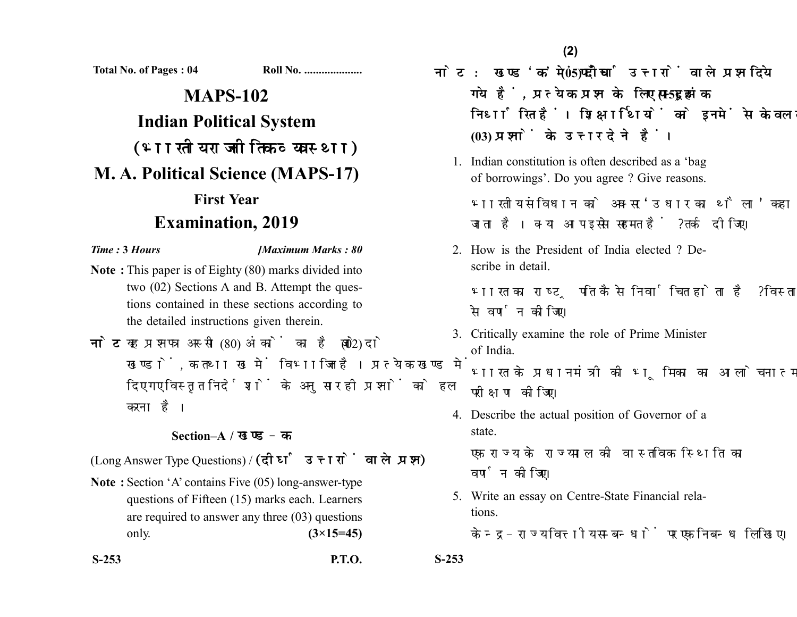**Total No. of Pages : 04 Roll No. ....................**

## **MAPS-102 Indian Political System** (भारतीय राजनीतिक व्यवस्था) **M. A. Political Science (MAPS-17) First Year Examination, 2019**

*Time :* **3** *Hours [Maximum Marks : 80*

- **Note :** This paper is of Eighty (80) marks divided into two (02) Sections A and B. Attempt the questions contained in these sections according to the detailed instructions given therein.
- नोट: यह प्रश्नपत्र अस्सी (80) अंकों का है जो दो (02) खण्डों. क तथा ख में विभाजित है। प्रत्येक खण्ड में दिए गए विस्तृत निर्देशों के अनुसार ही प्रश्नों को हल करना है।

## **Section–A /**

(Long Answer Type Questions) / (दीर्घ उत्तरों वाले प्रश्न)

- **Note :** Section 'A' contains Five (05) long-answer-type questions of Fifteen (15) marks each. Learners are required to answer any three (03) questions only. **(3×15=45)**
- **S-253 P.T.O. S-253**

नोट: खण्ड'क' में पाँच (05) दीर्घ उत्तरों वाले प्रश्न दिये गये हैं, प्रत्येक प्रश्न के लिए पन्दुह (15) अंक निर्धारित हैं। शिक्षार्थियों को इनमें से केवल तीन **(03)** 

1. Indian constitution is often described as a 'bag of borrowings'. Do you agree ? Give reasons.

भारतीय संविधान को अक्सर 'उधार का थैला' कहा जाता है। क्या आप इससे सहमत हैं ? तर्क दीजिए।

2. How is the President of India elected ? Describe in detail.

भारत का राष्ट्रपति कैसे निर्वाचित होता है ? विस्तार से वर्णन कीजिए।

3. Critically examine the role of Prime Minister of India.

भारत के प्रधानमंत्री की भूमिका का आलोचनात्मक परीक्षण कीजिए।

4. Describe the actual position of Governor of a state.

एक राज्य के राज्यपाल की वास्तविक स्थिति का वर्णन कोजिए।

5. Write an essay on Centre-State Financial relations.

केन्द्र-राज्य वित्तीय सम्बन्धों पर एक निबन्ध लिखिए।